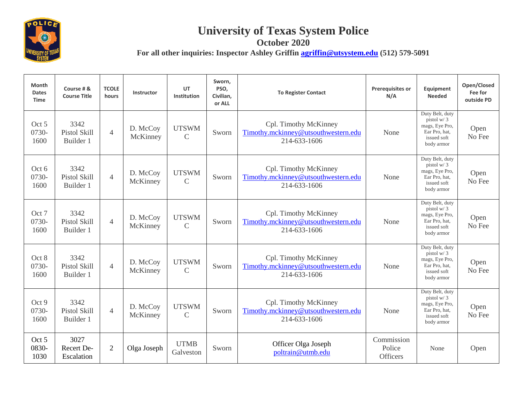

## **University of Texas System Police**

**October 2020**

**For all other inquiries: Inspector Ashley Griffin [agriffin@utsystem.edu](mailto:agriffin@utsystem.edu) (512) 579-5091**

| Month<br><b>Dates</b><br><b>Time</b> | Course # &<br><b>Course Title</b>        | <b>TCOLE</b><br>hours    | Instructor           | UT<br>Institution             | Sworn,<br>PSO,<br>Civilian,<br>or ALL | <b>To Register Contact</b>                                                   | <b>Prerequisites or</b><br>N/A          | Equipment<br><b>Needed</b>                                                                      | Open/Closed<br>Fee for<br>outside PD |
|--------------------------------------|------------------------------------------|--------------------------|----------------------|-------------------------------|---------------------------------------|------------------------------------------------------------------------------|-----------------------------------------|-------------------------------------------------------------------------------------------------|--------------------------------------|
| Oct 5<br>0730-<br>1600               | 3342<br>Pistol Skill<br>Builder 1        | $\overline{\mathcal{A}}$ | D. McCoy<br>McKinney | <b>UTSWM</b><br>$\mathcal{C}$ | Sworn                                 | Cpl. Timothy McKinney<br>Timothy.mckinney@utsouthwestern.edu<br>214-633-1606 | None                                    | Duty Belt, duty<br>pistol $w/3$<br>mags, Eye Pro,<br>Ear Pro. hat.<br>issued soft<br>body armor | Open<br>No Fee                       |
| Oct 6<br>0730-<br>1600               | 3342<br>Pistol Skill<br>Builder 1        | $\overline{4}$           | D. McCoy<br>McKinney | <b>UTSWM</b><br>$\mathcal{C}$ | Sworn                                 | Cpl. Timothy McKinney<br>Timothy.mckinney@utsouthwestern.edu<br>214-633-1606 | None                                    | Duty Belt, duty<br>pistol $w/3$<br>mags, Eye Pro,<br>Ear Pro, hat,<br>issued soft<br>body armor | Open<br>No Fee                       |
| Oct 7<br>0730-<br>1600               | 3342<br>Pistol Skill<br>Builder 1        | $\overline{4}$           | D. McCoy<br>McKinney | <b>UTSWM</b><br>$\mathcal{C}$ | Sworn                                 | Cpl. Timothy McKinney<br>Timothy.mckinney@utsouthwestern.edu<br>214-633-1606 | None                                    | Duty Belt, duty<br>pistol $w/3$<br>mags, Eye Pro,<br>Ear Pro, hat,<br>issued soft<br>body armor | Open<br>No Fee                       |
| Oct 8<br>0730-<br>1600               | 3342<br><b>Pistol Skill</b><br>Builder 1 | $\overline{4}$           | D. McCoy<br>McKinney | <b>UTSWM</b><br>$\mathcal{C}$ | Sworn                                 | Cpl. Timothy McKinney<br>Timothy.mckinney@utsouthwestern.edu<br>214-633-1606 | None                                    | Duty Belt, duty<br>pistol w/3<br>mags, Eye Pro,<br>Ear Pro, hat,<br>issued soft<br>body armor   | Open<br>No Fee                       |
| Oct 9<br>0730-<br>1600               | 3342<br>Pistol Skill<br>Builder 1        | $\overline{4}$           | D. McCoy<br>McKinney | <b>UTSWM</b><br>$\mathcal{C}$ | Sworn                                 | Cpl. Timothy McKinney<br>Timothy.mckinney@utsouthwestern.edu<br>214-633-1606 | None                                    | Duty Belt, duty<br>pistol $w/3$<br>mags, Eye Pro,<br>Ear Pro, hat,<br>issued soft<br>body armor | Open<br>No Fee                       |
| Oct 5<br>0830-<br>1030               | 3027<br>Recert De-<br>Escalation         | $\overline{2}$           | Olga Joseph          | <b>UTMB</b><br>Galveston      | Sworn                                 | Officer Olga Joseph<br>poltrain@utmb.edu                                     | Commission<br>Police<br><b>Officers</b> | None                                                                                            | Open                                 |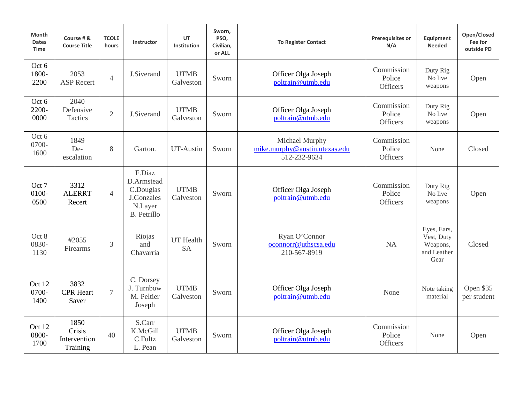| <b>Month</b><br><b>Dates</b><br><b>Time</b> | Course # &<br><b>Course Title</b>          | <b>TCOLE</b><br>hours | Instructor                                                                       | UT<br>Institution             | Sworn,<br>PSO,<br>Civilian,<br>or ALL | <b>To Register Contact</b>                                      | <b>Prerequisites or</b><br>N/A          | Equipment<br><b>Needed</b>                                   | Open/Closed<br>Fee for<br>outside PD |
|---------------------------------------------|--------------------------------------------|-----------------------|----------------------------------------------------------------------------------|-------------------------------|---------------------------------------|-----------------------------------------------------------------|-----------------------------------------|--------------------------------------------------------------|--------------------------------------|
| Oct 6<br>1800-<br>2200                      | 2053<br><b>ASP Recert</b>                  | $\overline{4}$        | J.Siverand                                                                       | <b>UTMB</b><br>Galveston      | Sworn                                 | Officer Olga Joseph<br>poltrain@utmb.edu                        | Commission<br>Police<br><b>Officers</b> | Duty Rig<br>No live<br>weapons                               | Open                                 |
| Oct 6<br>2200-<br>0000                      | 2040<br>Defensive<br>Tactics               | $\overline{2}$        | J.Siverand                                                                       | <b>UTMB</b><br>Galveston      | Sworn                                 | Officer Olga Joseph<br>poltrain@utmb.edu                        | Commission<br>Police<br><b>Officers</b> | Duty Rig<br>No live<br>weapons                               | Open                                 |
| Oct 6<br>0700-<br>1600                      | 1849<br>De-<br>escalation                  | 8                     | Garton.                                                                          | UT-Austin                     | Sworn                                 | Michael Murphy<br>mike.murphy@austin.utexas.edu<br>512-232-9634 | Commission<br>Police<br><b>Officers</b> | None                                                         | Closed                               |
| Oct 7<br>0100-<br>0500                      | 3312<br><b>ALERRT</b><br>Recert            | $\overline{4}$        | F.Diaz<br>D.Armstead<br>C.Douglas<br>J.Gonzales<br>N.Layer<br><b>B.</b> Petrillo | <b>UTMB</b><br>Galveston      | Sworn                                 | Officer Olga Joseph<br>poltrain@utmb.edu                        | Commission<br>Police<br><b>Officers</b> | Duty Rig<br>No live<br>weapons                               | Open                                 |
| Oct 8<br>0830-<br>1130                      | #2055<br>Firearms                          | 3                     | Riojas<br>and<br>Chavarria                                                       | <b>UT</b> Health<br><b>SA</b> | Sworn                                 | Ryan O'Connor<br>oconnorr@uthscsa.edu<br>210-567-8919           | <b>NA</b>                               | Eyes, Ears,<br>Vest, Duty<br>Weapons,<br>and Leather<br>Gear | Closed                               |
| Oct 12<br>0700-<br>1400                     | 3832<br><b>CPR</b> Heart<br>Saver          | $\overline{7}$        | C. Dorsey<br>J. Turnbow<br>M. Peltier<br>Joseph                                  | <b>UTMB</b><br>Galveston      | Sworn                                 | Officer Olga Joseph<br>poltrain@utmb.edu                        | None                                    | Note taking<br>material                                      | Open \$35<br>per student             |
| Oct 12<br>0800-<br>1700                     | 1850<br>Crisis<br>Intervention<br>Training | 40                    | S.Carr<br>K.McGill<br>C.Fultz<br>L. Pean                                         | <b>UTMB</b><br>Galveston      | Sworn                                 | Officer Olga Joseph<br>poltrain@utmb.edu                        | Commission<br>Police<br><b>Officers</b> | None                                                         | Open                                 |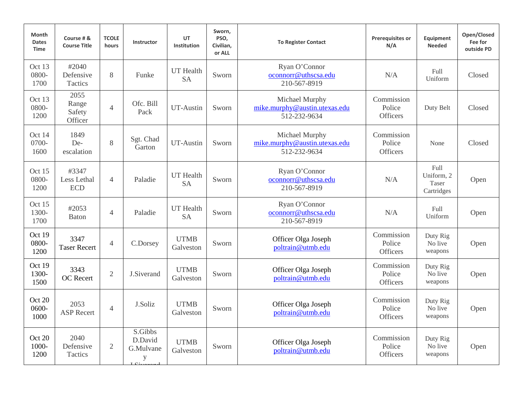| Month<br><b>Dates</b><br><b>Time</b> | Course # &<br><b>Course Title</b>  | <b>TCOLE</b><br>hours | Instructor                                     | UT<br>Institution             | Sworn,<br>PSO,<br>Civilian,<br>or ALL | <b>To Register Contact</b>                                      | <b>Prerequisites or</b><br>N/A          | Equipment<br><b>Needed</b>                | Open/Closed<br>Fee for<br>outside PD |
|--------------------------------------|------------------------------------|-----------------------|------------------------------------------------|-------------------------------|---------------------------------------|-----------------------------------------------------------------|-----------------------------------------|-------------------------------------------|--------------------------------------|
| Oct 13<br>0800-<br>1700              | #2040<br>Defensive<br>Tactics      | 8                     | Funke                                          | UT Health<br><b>SA</b>        | Sworn                                 | Ryan O'Connor<br>oconnorr@uthscsa.edu<br>210-567-8919           | N/A                                     | Full<br>Uniform                           | Closed                               |
| Oct 13<br>0800-<br>1200              | 2055<br>Range<br>Safety<br>Officer | $\overline{4}$        | Ofc. Bill<br>Pack                              | UT-Austin                     | Sworn                                 | Michael Murphy<br>mike.murphy@austin.utexas.edu<br>512-232-9634 | Commission<br>Police<br>Officers        | Duty Belt                                 | Closed                               |
| Oct 14<br>0700-<br>1600              | 1849<br>De-<br>escalation          | 8                     | Sgt. Chad<br>Garton                            | UT-Austin                     | Sworn                                 | Michael Murphy<br>mike.murphy@austin.utexas.edu<br>512-232-9634 | Commission<br>Police<br><b>Officers</b> | None                                      | Closed                               |
| Oct 15<br>0800-<br>1200              | #3347<br>Less Lethal<br><b>ECD</b> | $\overline{4}$        | Paladie                                        | <b>UT</b> Health<br><b>SA</b> | Sworn                                 | Ryan O'Connor<br>oconnorr@uthscsa.edu<br>210-567-8919           | N/A                                     | Full<br>Uniform, 2<br>Taser<br>Cartridges | Open                                 |
| Oct 15<br>1300-<br>1700              | #2053<br><b>Baton</b>              | $\overline{4}$        | Paladie                                        | <b>UT</b> Health<br><b>SA</b> | Sworn                                 | Ryan O'Connor<br>oconnorr@uthscsa.edu<br>210-567-8919           | N/A                                     | Full<br>Uniform                           | Open                                 |
| Oct 19<br>0800-<br>1200              | 3347<br><b>Taser Recert</b>        | $\overline{4}$        | C.Dorsey                                       | <b>UTMB</b><br>Galveston      | Sworn                                 | Officer Olga Joseph<br>poltrain@utmb.edu                        | Commission<br>Police<br><b>Officers</b> | Duty Rig<br>No live<br>weapons            | Open                                 |
| Oct 19<br>1300-<br>1500              | 3343<br><b>OC</b> Recert           | $\overline{2}$        | J.Siverand                                     | <b>UTMB</b><br>Galveston      | Sworn                                 | Officer Olga Joseph<br>poltrain@utmb.edu                        | Commission<br>Police<br><b>Officers</b> | Duty Rig<br>No live<br>weapons            | Open                                 |
| Oct 20<br>0600-<br>1000              | 2053<br><b>ASP</b> Recert          | $\overline{4}$        | J.Soliz                                        | <b>UTMB</b><br>Galveston      | Sworn                                 | Officer Olga Joseph<br>poltrain@utmb.edu                        | Commission<br>Police<br>Officers        | Duty Rig<br>No live<br>weapons            | Open                                 |
| Oct 20<br>1000-<br>1200              | 2040<br>Defensive<br>Tactics       | $\overline{2}$        | S.Gibbs<br>D.David<br>G.Mulvane<br>y<br>$T$ C: | <b>UTMB</b><br>Galveston      | Sworn                                 | Officer Olga Joseph<br>poltrain@utmb.edu                        | Commission<br>Police<br>Officers        | Duty Rig<br>No live<br>weapons            | Open                                 |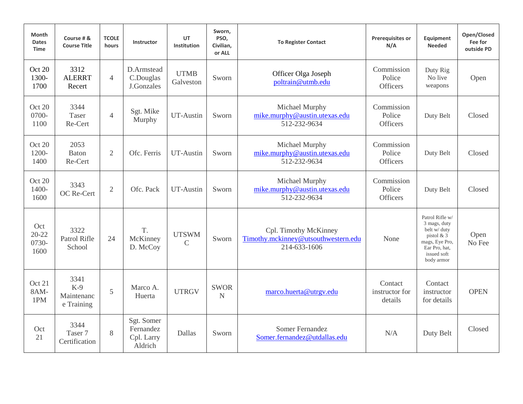| <b>Month</b><br><b>Dates</b><br><b>Time</b> | Course # &<br><b>Course Title</b>         | <b>TCOLE</b><br>hours | Instructor                                       | UT<br>Institution            | Sworn,<br>PSO,<br>Civilian,<br>or ALL | <b>To Register Contact</b>                                                   | <b>Prerequisites or</b><br>N/A          | Equipment<br><b>Needed</b>                                                                                                      | Open/Closed<br>Fee for<br>outside PD |
|---------------------------------------------|-------------------------------------------|-----------------------|--------------------------------------------------|------------------------------|---------------------------------------|------------------------------------------------------------------------------|-----------------------------------------|---------------------------------------------------------------------------------------------------------------------------------|--------------------------------------|
| Oct 20<br>1300-<br>1700                     | 3312<br><b>ALERRT</b><br>Recert           | $\overline{4}$        | D.Armstead<br>C.Douglas<br>J.Gonzales            | <b>UTMB</b><br>Galveston     | Sworn                                 | Officer Olga Joseph<br>poltrain@utmb.edu                                     | Commission<br>Police<br><b>Officers</b> | Duty Rig<br>No live<br>weapons                                                                                                  | Open                                 |
| Oct 20<br>$0700 -$<br>1100                  | 3344<br>Taser<br>Re-Cert                  | $\overline{4}$        | Sgt. Mike<br>Murphy                              | UT-Austin                    | Sworn                                 | Michael Murphy<br>mike.murphy@austin.utexas.edu<br>512-232-9634              | Commission<br>Police<br><b>Officers</b> | Duty Belt                                                                                                                       | Closed                               |
| Oct 20<br>1200-<br>1400                     | 2053<br><b>Baton</b><br>Re-Cert           | $\overline{2}$        | Ofc. Ferris                                      | <b>UT-Austin</b>             | Sworn                                 | Michael Murphy<br>mike.murphy@austin.utexas.edu<br>512-232-9634              | Commission<br>Police<br><b>Officers</b> | Duty Belt                                                                                                                       | Closed                               |
| Oct 20<br>1400-<br>1600                     | 3343<br>OC Re-Cert                        | $\mathfrak{2}$        | Ofc. Pack                                        | <b>UT-Austin</b>             | Sworn                                 | Michael Murphy<br>mike.murphy@austin.utexas.edu<br>512-232-9634              | Commission<br>Police<br><b>Officers</b> | Duty Belt                                                                                                                       | Closed                               |
| Oct<br>$20 - 22$<br>0730-<br>1600           | 3322<br>Patrol Rifle<br>School            | 24                    | T.<br>McKinney<br>D. McCoy                       | <b>UTSWM</b><br>$\mathsf{C}$ | Sworn                                 | Cpl. Timothy McKinney<br>Timothy.mckinney@utsouthwestern.edu<br>214-633-1606 | None                                    | Patrol Rifle w/<br>3 mags, duty<br>belt w/ duty<br>pistol $& 3$<br>mags, Eye Pro,<br>Ear Pro, hat,<br>issued soft<br>body armor | Open<br>No Fee                       |
| Oct 21<br>8AM-<br>1PM                       | 3341<br>$K-9$<br>Maintenanc<br>e Training | 5                     | Marco A.<br>Huerta                               | <b>UTRGV</b>                 | <b>SWOR</b><br>$\mathbf N$            | marco.huerta@utrgv.edu                                                       | Contact<br>instructor for<br>details    | Contact<br>instructor<br>for details                                                                                            | <b>OPEN</b>                          |
| Oct<br>21                                   | 3344<br>Taser 7<br>Certification          | 8                     | Sgt. Somer<br>Fernandez<br>Cpl. Larry<br>Aldrich | Dallas                       | Sworn                                 | <b>Somer Fernandez</b><br>Somer.fernandez@utdallas.edu                       | N/A                                     | Duty Belt                                                                                                                       | Closed                               |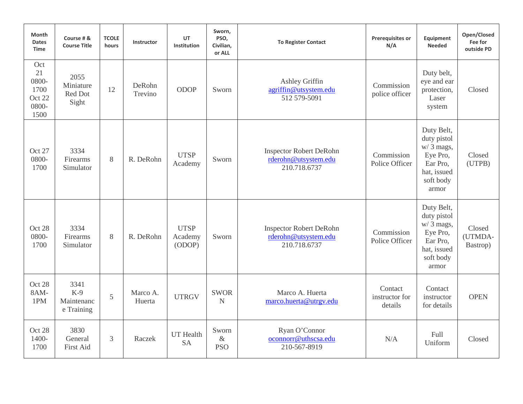| Month<br><b>Dates</b><br><b>Time</b>                  | Course # &<br><b>Course Title</b>         | <b>TCOLE</b><br>hours | Instructor         | UT<br><b>Institution</b>         | Sworn,<br>PSO,<br>Civilian,<br>or ALL | <b>To Register Contact</b>                                             | <b>Prerequisites or</b><br>N/A       | Equipment<br><b>Needed</b>                                                                            | Open/Closed<br>Fee for<br>outside PD |
|-------------------------------------------------------|-------------------------------------------|-----------------------|--------------------|----------------------------------|---------------------------------------|------------------------------------------------------------------------|--------------------------------------|-------------------------------------------------------------------------------------------------------|--------------------------------------|
| Oct<br>21<br>0800-<br>1700<br>Oct 22<br>0800-<br>1500 | 2055<br>Miniature<br>Red Dot<br>Sight     | 12                    | DeRohn<br>Trevino  | <b>ODOP</b>                      | Sworn                                 | Ashley Griffin<br>agriffin@utsystem.edu<br>512 579-5091                | Commission<br>police officer         | Duty belt,<br>eye and ear<br>protection,<br>Laser<br>system                                           | Closed                               |
| Oct 27<br>0800-<br>1700                               | 3334<br>Firearms<br>Simulator             | 8                     | R. DeRohn          | <b>UTSP</b><br>Academy           | Sworn                                 | <b>Inspector Robert DeRohn</b><br>rderohn@utsystem.edu<br>210.718.6737 | Commission<br>Police Officer         | Duty Belt,<br>duty pistol<br>$w/3$ mags,<br>Eye Pro,<br>Ear Pro,<br>hat, issued<br>soft body<br>armor | Closed<br>(UTPB)                     |
| Oct 28<br>0800-<br>1700                               | 3334<br>Firearms<br>Simulator             | 8                     | R. DeRohn          | <b>UTSP</b><br>Academy<br>(ODOP) | Sworn                                 | <b>Inspector Robert DeRohn</b><br>rderohn@utsystem.edu<br>210.718.6737 | Commission<br>Police Officer         | Duty Belt,<br>duty pistol<br>$w/3$ mags,<br>Eye Pro,<br>Ear Pro,<br>hat, issued<br>soft body<br>armor | Closed<br>(UTMDA-<br>Bastrop)        |
| Oct 28<br>8AM-<br>1PM                                 | 3341<br>$K-9$<br>Maintenanc<br>e Training | 5                     | Marco A.<br>Huerta | <b>UTRGV</b>                     | <b>SWOR</b><br>$\mathbf N$            | Marco A. Huerta<br>marco.huerta@utrgv.edu                              | Contact<br>instructor for<br>details | Contact<br>instructor<br>for details                                                                  | <b>OPEN</b>                          |
| Oct 28<br>1400-<br>1700                               | 3830<br>General<br><b>First Aid</b>       | 3                     | Raczek             | <b>UT</b> Health<br><b>SA</b>    | Sworn<br>$\&$<br><b>PSO</b>           | Ryan O'Connor<br>oconnorr@uthscsa.edu<br>210-567-8919                  | N/A                                  | Full<br>Uniform                                                                                       | Closed                               |